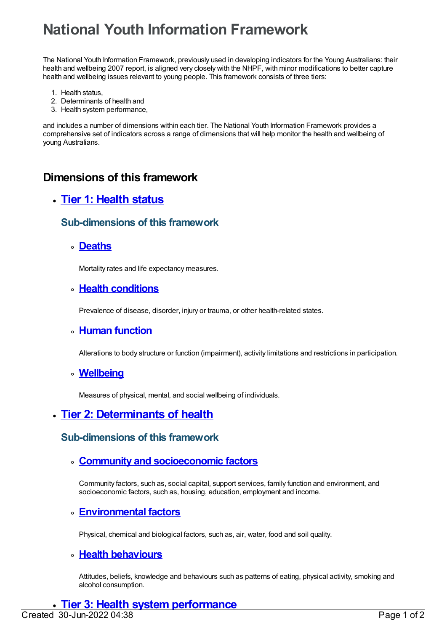# **National Youth Information Framework**

The National Youth Information Framework, previously used in developing indicators for the Young Australians: their health and wellbeing 2007 report, is aligned very closely with the NHPF, with minor modifications to better capture health and wellbeing issues relevant to young people. This framework consists of three tiers:

- 1. Health status,
- 2. Determinants of health and
- 3. Health system performance,

and includes a number of dimensions within each tier. The National Youth Information Framework provides a comprehensive set of indicators across a range of dimensions that will help monitor the health and wellbeing of young Australians.

# **Dimensions of this framework**

# **Tier 1: [Health](https://meteor.aihw.gov.au/content/401177) status**

## **Sub-dimensions of this framework**

**[Deaths](https://meteor.aihw.gov.au/content/401178)**

Mortality rates and life expectancy measures.

#### **Health [conditions](https://meteor.aihw.gov.au/content/401181)**

Prevalence of disease, disorder, injury or trauma, or other health-related states.

#### **Human [function](https://meteor.aihw.gov.au/content/401180)**

Alterations to body structure or function (impairment), activity limitations and restrictions in participation.

#### **[Wellbeing](https://meteor.aihw.gov.au/content/401179)**

Measures of physical, mental, and social wellbeing of individuals.

# **Tier 2: [Determinants](https://meteor.aihw.gov.au/content/401176) of health**

## **Sub-dimensions of this framework**

#### **Community and [socioeconomic](https://meteor.aihw.gov.au/content/401183) factors**

Community factors, such as, social capital, support services, family function and environment, and socioeconomic factors, such as, housing, education, employment and income.

## **[Environmental](https://meteor.aihw.gov.au/content/401184) factors**

Physical, chemical and biological factors, such as, air, water, food and soil quality.

## **Health [behaviours](https://meteor.aihw.gov.au/content/401182)**

Attitudes, beliefs, knowledge and behaviours such as patterns of eating, physical activity, smoking and alcohol consumption.

#### **Tier 3: Health system [performance](https://meteor.aihw.gov.au/content/401175)** Created 30-Jun-2022 04:38 Page 1 of 2